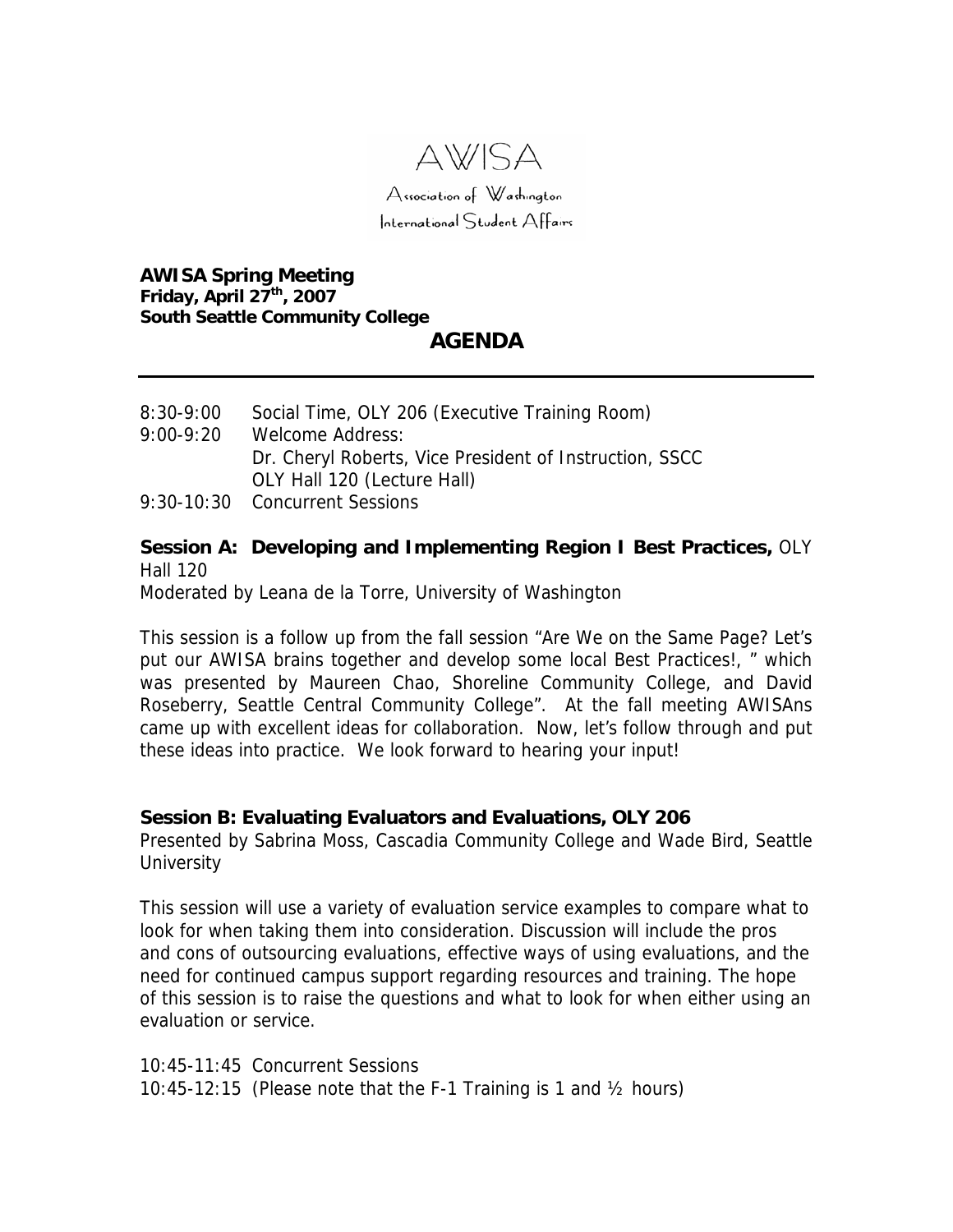

Association of Washington International Student Affairs

### **AWISA Spring Meeting Friday, April 27th, 2007 South Seattle Community College AGENDA**

8:30-9:00 Social Time, OLY 206 (Executive Training Room) 9:00-9:20 Welcome Address: Dr. Cheryl Roberts, Vice President of Instruction, SSCC OLY Hall 120 (Lecture Hall) 9:30-10:30 Concurrent Sessions

# **Session A: Developing and Implementing Region I Best Practices,** OLY Hall 120

Moderated by Leana de la Torre, University of Washington

This session is a follow up from the fall session "Are We on the Same Page? Let's put our AWISA brains together and develop some local Best Practices!, " which was presented by Maureen Chao, Shoreline Community College, and David Roseberry, Seattle Central Community College". At the fall meeting AWISAns came up with excellent ideas for collaboration. Now, let's follow through and put these ideas into practice. We look forward to hearing your input!

## **Session B: Evaluating Evaluators and Evaluations, OLY 206**

Presented by Sabrina Moss, Cascadia Community College and Wade Bird, Seattle **University** 

This session will use a variety of evaluation service examples to compare what to look for when taking them into consideration. Discussion will include the pros and cons of outsourcing evaluations, effective ways of using evaluations, and the need for continued campus support regarding resources and training. The hope of this session is to raise the questions and what to look for when either using an evaluation or service.

10:45-11:45 Concurrent Sessions 10:45-12:15 (Please note that the F-1 Training is 1 and ½ hours)